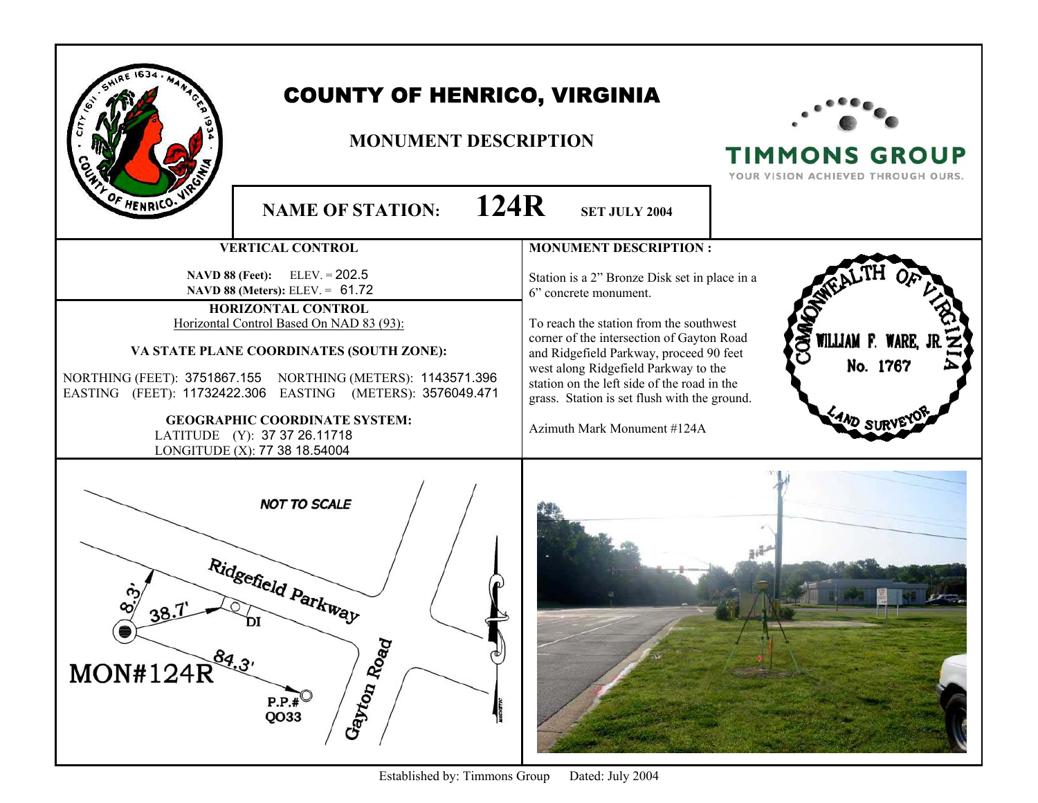|                                                                                                                                                                                                                   | <b>COUNTY OF HENRICO, VIRGINIA</b><br><b>MONUMENT DESCRIPTION</b> |                                                                                                                                                                                                                                                                                                             | <b>TIMMONS GROUP</b><br>YOUR VISION ACHIEVED THROUGH OURS. |
|-------------------------------------------------------------------------------------------------------------------------------------------------------------------------------------------------------------------|-------------------------------------------------------------------|-------------------------------------------------------------------------------------------------------------------------------------------------------------------------------------------------------------------------------------------------------------------------------------------------------------|------------------------------------------------------------|
| OF HENRICO.                                                                                                                                                                                                       | 124R<br><b>NAME OF STATION:</b>                                   | <b>SET JULY 2004</b>                                                                                                                                                                                                                                                                                        |                                                            |
|                                                                                                                                                                                                                   | <b>VERTICAL CONTROL</b>                                           | <b>MONUMENT DESCRIPTION:</b>                                                                                                                                                                                                                                                                                |                                                            |
| <b>NAVD 88 (Feet):</b> ELEV. = $202.5$<br><b>NAVD 88 (Meters):</b> ELEV. = $61.72$<br>HORIZONTAL CONTROL                                                                                                          |                                                                   | Station is a 2" Bronze Disk set in place in a<br>6" concrete monument.                                                                                                                                                                                                                                      |                                                            |
| Horizontal Control Based On NAD 83 (93):<br>VA STATE PLANE COORDINATES (SOUTH ZONE):<br>NORTHING (FEET): 3751867.155 NORTHING (METERS): 1143571.396<br>EASTING (FEET): 11732422.306 EASTING (METERS): 3576049.471 |                                                                   | To reach the station from the southwest<br>Š<br>WILLIAM F. WARE,<br>corner of the intersection of Gayton Road<br>and Ridgefield Parkway, proceed 90 feet<br>No. 1767<br>west along Ridgefield Parkway to the<br>station on the left side of the road in the<br>grass. Station is set flush with the ground. |                                                            |
| <b>GEOGRAPHIC COORDINATE SYSTEM:</b><br>LATITUDE (Y): 37 37 26.11718<br>LONGITUDE (X): 77 38 18.54004                                                                                                             |                                                                   | Azimuth Mark Monument #124A                                                                                                                                                                                                                                                                                 |                                                            |
| $MON#124R^{84.3'}$                                                                                                                                                                                                | <b>NOT TO SCALE</b><br>Ridgefield Parkway<br>Gayton Road<br>P.P.# |                                                                                                                                                                                                                                                                                                             |                                                            |

Established by: Timmons Group Dated: July 2004